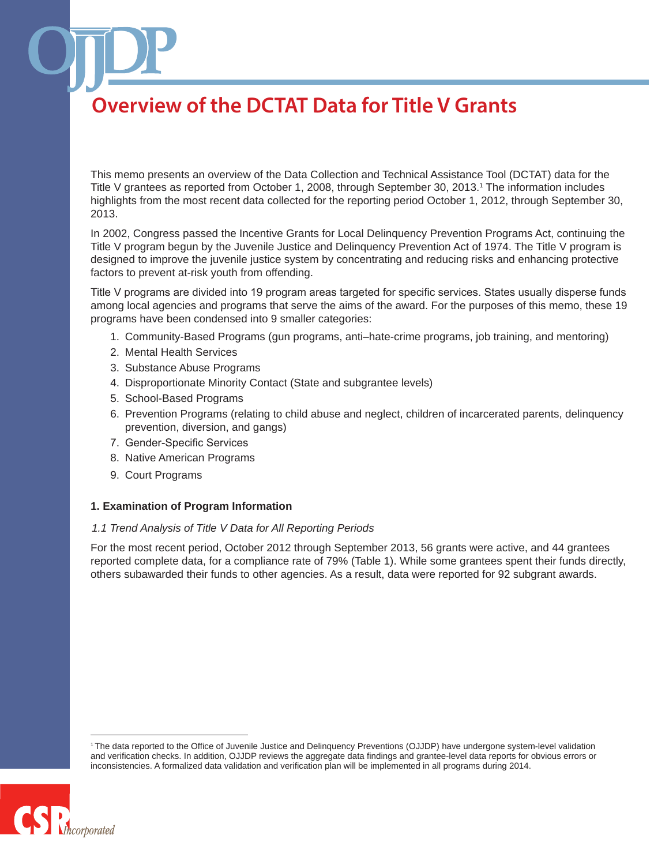This memo presents an overview of the Data Collection and Technical Assistance Tool (DCTAT) data for the Title V grantees as reported from October 1, 2008, through September 30, 2013.1 The information includes highlights from the most recent data collected for the reporting period October 1, 2012, through September 30, 2013.

In 2002, Congress passed the Incentive Grants for Local Delinquency Prevention Programs Act, continuing the Title V program begun by the Juvenile Justice and Delinquency Prevention Act of 1974. The Title V program is designed to improve the juvenile justice system by concentrating and reducing risks and enhancing protective factors to prevent at-risk youth from offending.

Title V programs are divided into 19 program areas targeted for specific services. States usually disperse funds among local agencies and programs that serve the aims of the award. For the purposes of this memo, these 19 programs have been condensed into 9 smaller categories:

- 1. Community-Based Programs (gun programs, anti–hate-crime programs, job training, and mentoring)
- 2. Mental Health Services
- 3. Substance Abuse Programs
- 4. Disproportionate Minority Contact (State and subgrantee levels)
- 5. School-Based Programs
- 6. Prevention Programs (relating to child abuse and neglect, children of incarcerated parents, delinquency prevention, diversion, and gangs)
- 7. Gender-Specific Services
- 8. Native American Programs
- 9. Court Programs

#### **1. Examination of Program Information**

#### *1.1 Trend Analysis of Title V Data for All Reporting Periods*

For the most recent period, October 2012 through September 2013, 56 grants were active, and 44 grantees reported complete data, for a compliance rate of 79% (Table 1). While some grantees spent their funds directly, others subawarded their funds to other agencies. As a result, data were reported for 92 subgrant awards.

<sup>1</sup> The data reported to the Office of Juvenile Justice and Delinquency Preventions (OJJDP) have undergone system-level validation and verification checks. In addition, OJJDP reviews the aggregate data findings and grantee-level data reports for obvious errors or inconsistencies. A formalized data validation and verification plan will be implemented in all programs during 2014.

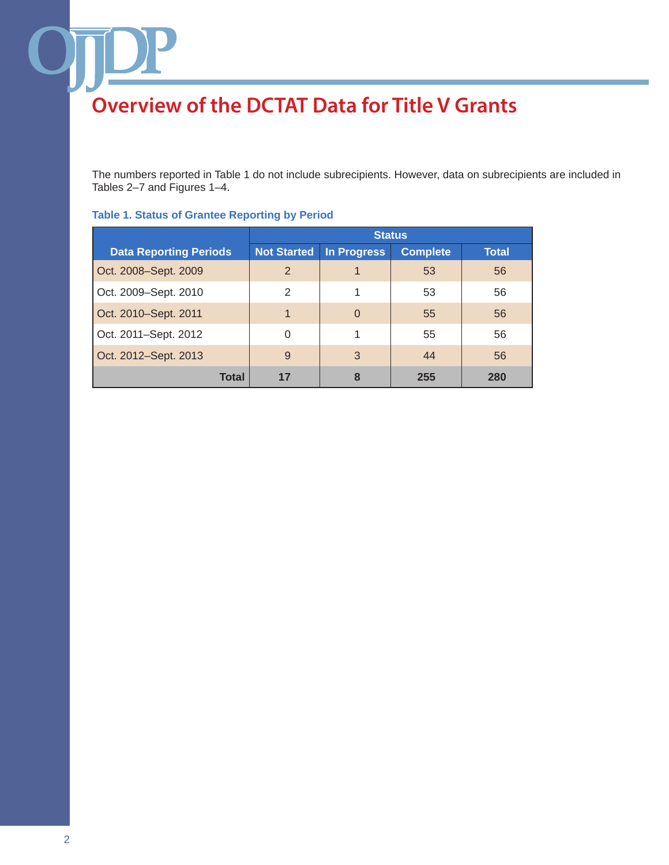The numbers reported in Table 1 do not include subrecipients. However, data on subrecipients are included in Tables 2–7 and Figures 1–4.

|                               | <b>Status</b>      |             |                 |       |
|-------------------------------|--------------------|-------------|-----------------|-------|
| <b>Data Reporting Periods</b> | <b>Not Started</b> | In Progress | <b>Complete</b> | Total |
| Oct. 2008-Sept. 2009          | $\overline{2}$     |             | 53              | 56    |
| Oct. 2009-Sept. 2010          | 2                  | 1           | 53              | 56    |
| Oct. 2010–Sept. 2011          | $\mathbf 1$        | $\Omega$    | 55              | 56    |
| Oct. 2011-Sept. 2012          | $\Omega$           | 1           | 55              | 56    |
| Oct. 2012-Sept. 2013          | 9                  | 3           | 44              | 56    |
| Total                         | 17                 | 8           | 255             | 280   |

### **Table 1. Status of Grantee Reporting by Period**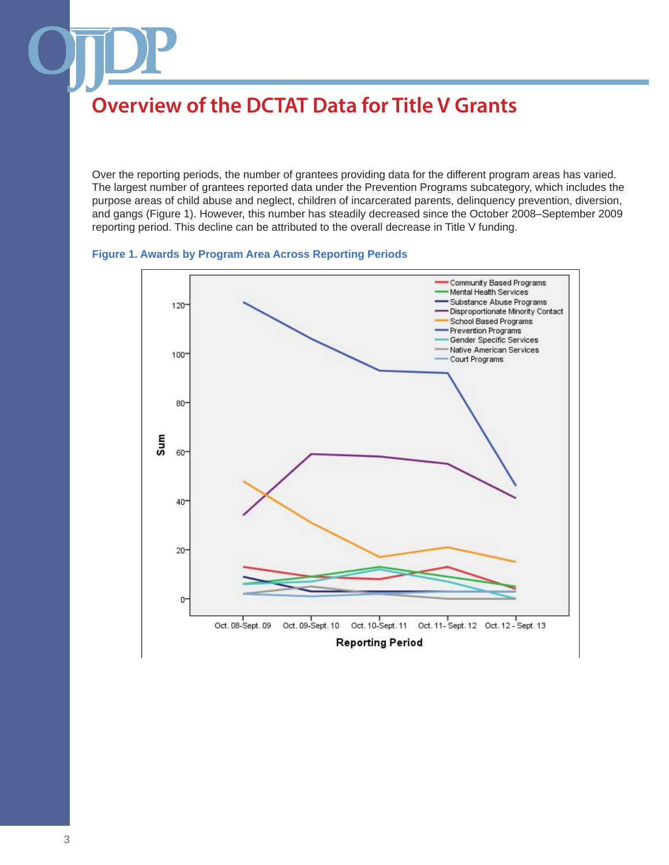Over the reporting periods, the number of grantees providing data for the different program areas has varied. The largest number of grantees reported data under the Prevention Programs subcategory, which includes the purpose areas of child abuse and neglect, children of incarcerated parents, delinquency prevention, diversion, and gangs (Figure 1). However, this number has steadily decreased since the October 2008–September 2009 reporting period. This decline can be attributed to the overall decrease in Title V funding.

### **Figure 1. Awards by Program Area Across Reporting Periods**

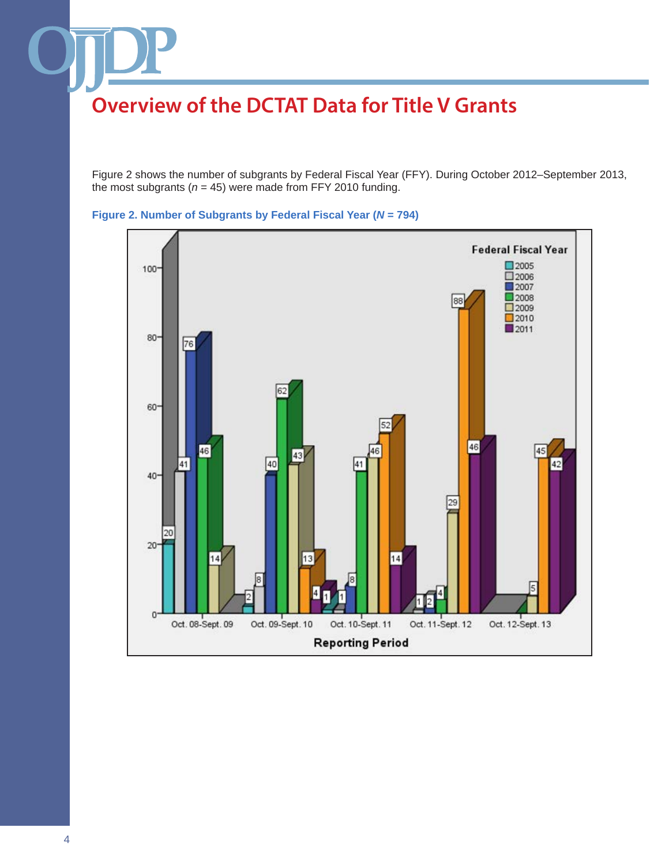Figure 2 shows the number of subgrants by Federal Fiscal Year (FFY). During October 2012–September 2013, the most subgrants ( $n = 45$ ) were made from FFY 2010 funding.



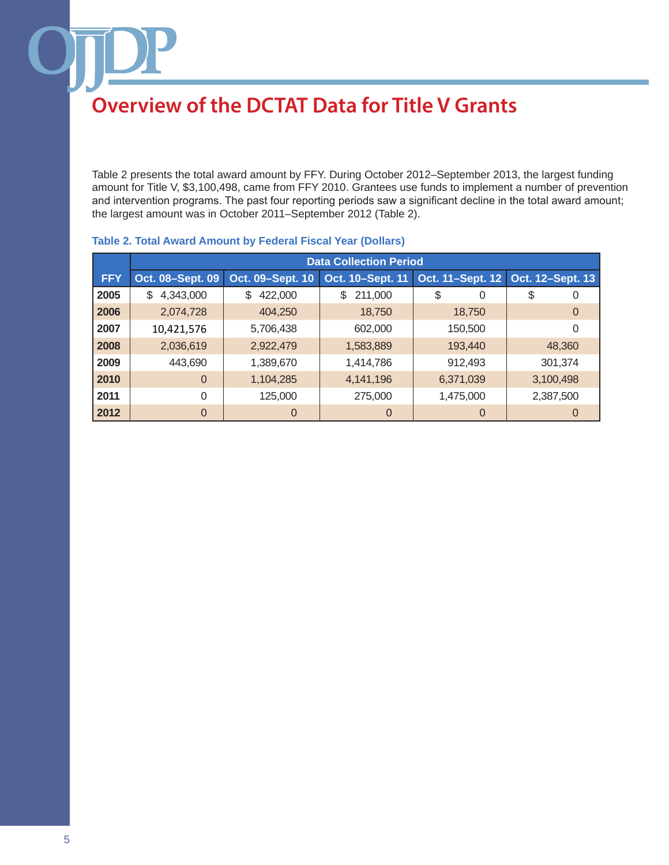Table 2 presents the total award amount by FFY. During October 2012–September 2013, the largest funding amount for Title V, \$3,100,498, came from FFY 2010. Grantees use funds to implement a number of prevention and intervention programs. The past four reporting periods saw a significant decline in the total award amount; the largest amount was in October 2011–September 2012 (Table 2).

|            | <b>Data Collection Period</b> |                  |                  |                  |                  |
|------------|-------------------------------|------------------|------------------|------------------|------------------|
| <b>FFY</b> | Oct. 08-Sept. 09              | Oct. 09-Sept. 10 | Oct. 10-Sept. 11 | Oct. 11-Sept. 12 | Oct. 12-Sept. 13 |
| 2005       | \$<br>4,343,000               | 422,000<br>\$    | \$<br>211,000    | \$<br>0          | \$<br>0          |
| 2006       | 2,074,728                     | 404,250          | 18,750           | 18,750           | 0                |
| 2007       | 10,421,576                    | 5,706,438        | 602,000          | 150,500          | 0                |
| 2008       | 2,036,619                     | 2,922,479        | 1,583,889        | 193,440          | 48,360           |
| 2009       | 443,690                       | 1,389,670        | 1,414,786        | 912,493          | 301,374          |
| 2010       | $\overline{0}$                | 1,104,285        | 4,141,196        | 6,371,039        | 3,100,498        |
| 2011       | 0                             | 125,000          | 275,000          | 1,475,000        | 2,387,500        |
| 2012       | $\overline{0}$                | $\Omega$         | $\Omega$         | 0                | $\Omega$         |

### **Table 2. Total Award Amount by Federal Fiscal Year (Dollars)**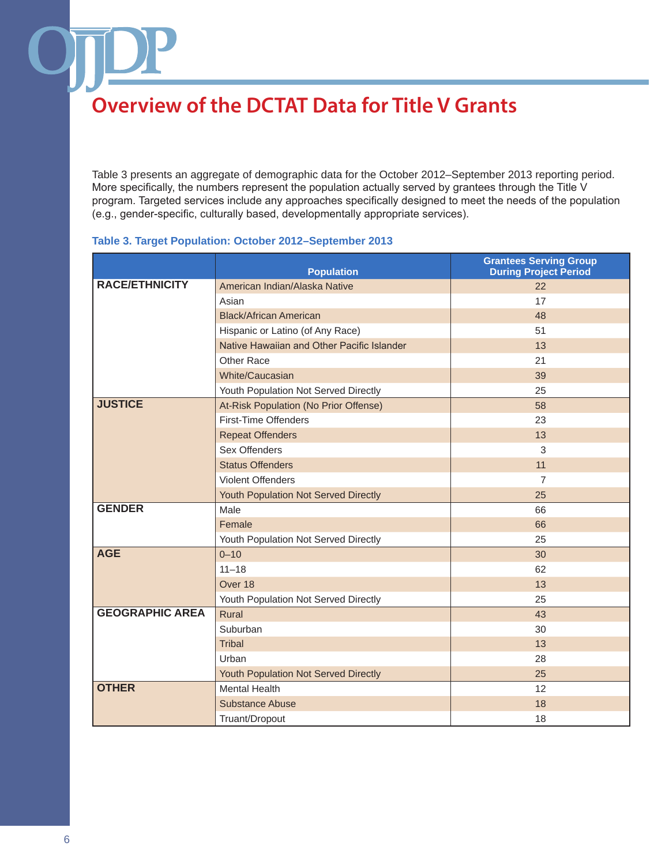Table 3 presents an aggregate of demographic data for the October 2012–September 2013 reporting period. More specifically, the numbers represent the population actually served by grantees through the Title V program. Targeted services include any approaches specifically designed to meet the needs of the population (e.g., gender-specific, culturally based, developmentally appropriate services).

### **Table 3. Target Population: October 2012–September 2013**

|                        | <b>Population</b>                          | <b>Grantees Serving Group</b><br><b>During Project Period</b> |
|------------------------|--------------------------------------------|---------------------------------------------------------------|
| <b>RACE/ETHNICITY</b>  | American Indian/Alaska Native              | 22                                                            |
|                        | Asian                                      | 17                                                            |
|                        | <b>Black/African American</b>              | 48                                                            |
|                        | Hispanic or Latino (of Any Race)           | 51                                                            |
|                        | Native Hawaiian and Other Pacific Islander | 13                                                            |
|                        | Other Race                                 | 21                                                            |
|                        | White/Caucasian                            | 39                                                            |
|                        | Youth Population Not Served Directly       | 25                                                            |
| <b>JUSTICE</b>         | At-Risk Population (No Prior Offense)      | 58                                                            |
|                        | First-Time Offenders                       | 23                                                            |
|                        | <b>Repeat Offenders</b>                    | 13                                                            |
|                        | Sex Offenders                              | 3                                                             |
|                        | <b>Status Offenders</b>                    | 11                                                            |
|                        | <b>Violent Offenders</b>                   | $\overline{7}$                                                |
|                        | Youth Population Not Served Directly       | 25                                                            |
| <b>GENDER</b>          | Male                                       | 66                                                            |
|                        | Female                                     | 66                                                            |
|                        | Youth Population Not Served Directly       | 25                                                            |
| <b>AGE</b>             | $0 - 10$                                   | 30                                                            |
|                        | $11 - 18$                                  | 62                                                            |
|                        | Over 18                                    | 13                                                            |
|                        | Youth Population Not Served Directly       | 25                                                            |
| <b>GEOGRAPHIC AREA</b> | Rural                                      | 43                                                            |
|                        | Suburban                                   | 30                                                            |
|                        | <b>Tribal</b>                              | 13                                                            |
|                        | Urban                                      | 28                                                            |
|                        | Youth Population Not Served Directly       | 25                                                            |
| <b>OTHER</b>           | <b>Mental Health</b>                       | 12                                                            |
|                        | <b>Substance Abuse</b>                     | 18                                                            |
|                        | Truant/Dropout                             | 18                                                            |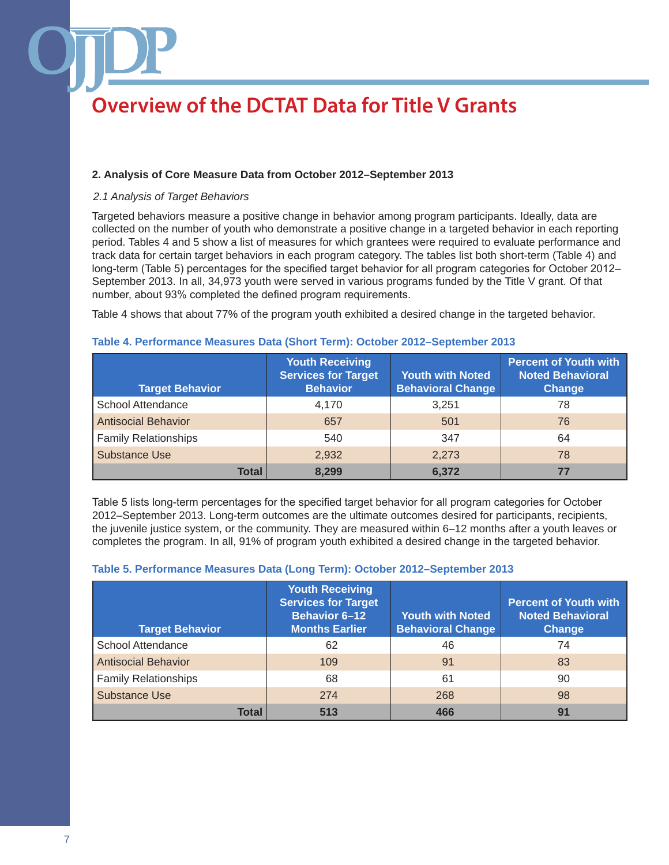### **2. Analysis of Core Measure Data from October 2012–September 2013**

#### *2.1 Analysis of Target Behaviors*

Targeted behaviors measure a positive change in behavior among program participants. Ideally, data are collected on the number of youth who demonstrate a positive change in a targeted behavior in each reporting period. Tables 4 and 5 show a list of measures for which grantees were required to evaluate performance and track data for certain target behaviors in each program category. The tables list both short-term (Table 4) and long-term (Table 5) percentages for the specified target behavior for all program categories for October 2012– September 2013. In all, 34,973 youth were served in various programs funded by the Title V grant. Of that number, about 93% completed the defined program requirements.

Table 4 shows that about 77% of the program youth exhibited a desired change in the targeted behavior.

| <b>Target Behavior</b>      | <b>Youth Receiving</b><br><b>Services for Target</b><br><b>Behavior</b> | <b>Youth with Noted</b><br><b>Behavioral Change</b> | <b>Percent of Youth with</b><br><b>Noted Behavioral</b><br><b>Change</b> |
|-----------------------------|-------------------------------------------------------------------------|-----------------------------------------------------|--------------------------------------------------------------------------|
| School Attendance           | 4.170                                                                   | 3.251                                               | 78                                                                       |
| <b>Antisocial Behavior</b>  | 657                                                                     | 501                                                 | 76                                                                       |
| <b>Family Relationships</b> | 540                                                                     | 347                                                 | 64                                                                       |
| <b>Substance Use</b>        | 2,932                                                                   | 2.273                                               | 78                                                                       |
| <b>Total</b>                | 8,299                                                                   | 6,372                                               | 77                                                                       |

#### **Table 4. Performance Measures Data (Short Term): October 2012–September 2013**

Table 5 lists long-term percentages for the specified target behavior for all program categories for October 2012–September 2013. Long-term outcomes are the ultimate outcomes desired for participants, recipients, the juvenile justice system, or the community. They are measured within 6–12 months after a youth leaves or completes the program. In all, 91% of program youth exhibited a desired change in the targeted behavior.

### **Table 5. Performance Measures Data (Long Term): October 2012–September 2013**

| <b>Target Behavior</b>      | <b>Youth Receiving</b><br><b>Services for Target</b><br><b>Behavior 6-12</b><br><b>Months Earlier</b> | <b>Youth with Noted</b><br><b>Behavioral Change</b> | <b>Percent of Youth with</b><br><b>Noted Behavioral</b><br>Change |
|-----------------------------|-------------------------------------------------------------------------------------------------------|-----------------------------------------------------|-------------------------------------------------------------------|
| <b>School Attendance</b>    | 62                                                                                                    | 46                                                  | 74                                                                |
| <b>Antisocial Behavior</b>  | 109                                                                                                   | 91                                                  | 83                                                                |
| <b>Family Relationships</b> | 68                                                                                                    | 61                                                  | 90                                                                |
| <b>Substance Use</b>        | 274                                                                                                   | 268                                                 | 98                                                                |
| <b>Total</b>                | 513                                                                                                   | 466                                                 | 91                                                                |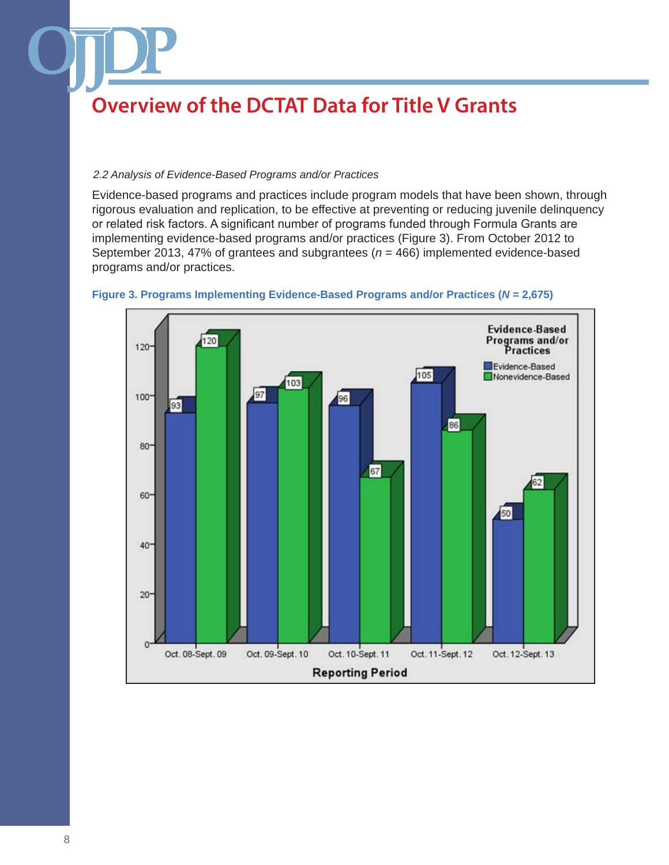### *2.2 Analysis of Evidence-Based Programs and/or Practices*

Evidence-based programs and practices include program models that have been shown, through rigorous evaluation and replication, to be effective at preventing or reducing juvenile delinquency or related risk factors. A significant number of programs funded through Formula Grants are implementing evidence-based programs and/or practices (Figure 3). From October 2012 to September 2013, 47% of grantees and subgrantees (*n* = 466) implemented evidence-based programs and/or practices.



**Figure 3. Programs Implementing Evidence-Based Programs and/or Practices (***N* **= 2,675)**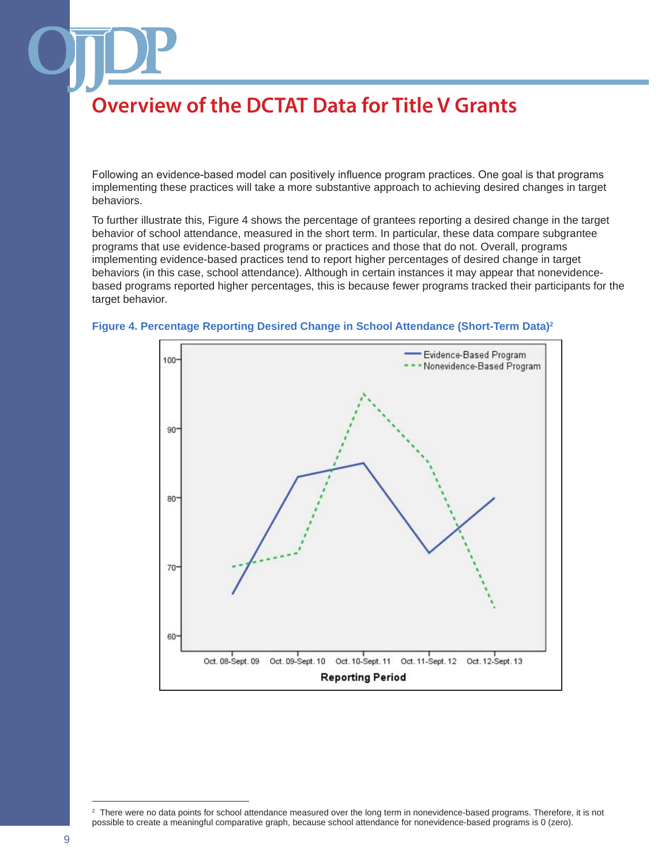Following an evidence-based model can positively influence program practices. One goal is that programs implementing these practices will take a more substantive approach to achieving desired changes in target behaviors.

To further illustrate this, Figure 4 shows the percentage of grantees reporting a desired change in the target behavior of school attendance, measured in the short term. In particular, these data compare subgrantee programs that use evidence-based programs or practices and those that do not. Overall, programs implementing evidence-based practices tend to report higher percentages of desired change in target behaviors (in this case, school attendance). Although in certain instances it may appear that nonevidencebased programs reported higher percentages, this is because fewer programs tracked their participants for the target behavior.



#### **Figure 4. Percentage Reporting Desired Change in School Attendance (Short-Term Data)2**

<sup>2</sup> There were no data points for school attendance measured over the long term in nonevidence-based programs. Therefore, it is not possible to create a meaningful comparative graph, because school attendance for nonevidence-based programs is 0 (zero).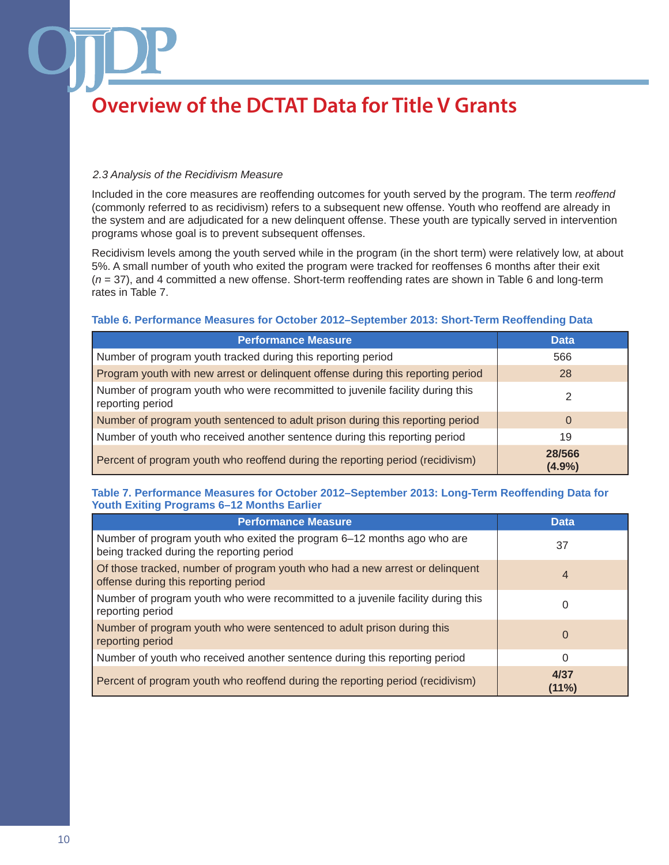### *2.3 Analysis of the Recidivism Measure*

Included in the core measures are reoffending outcomes for youth served by the program. The term *reoffend* (commonly referred to as recidivism) refers to a subsequent new offense. Youth who reoffend are already in the system and are adjudicated for a new delinquent offense. These youth are typically served in intervention programs whose goal is to prevent subsequent offenses.

Recidivism levels among the youth served while in the program (in the short term) were relatively low, at about 5%. A small number of youth who exited the program were tracked for reoffenses 6 months after their exit (*n* = 37), and 4 committed a new offense. Short-term reoffending rates are shown in Table 6 and long-term rates in Table 7.

#### **Table 6. Performance Measures for October 2012–September 2013: Short-Term Reoffending Data**

| <b>Performance Measure</b>                                                                        | <b>Data</b>         |
|---------------------------------------------------------------------------------------------------|---------------------|
| Number of program youth tracked during this reporting period                                      | 566                 |
| Program youth with new arrest or delinquent offense during this reporting period                  | 28                  |
| Number of program youth who were recommitted to juvenile facility during this<br>reporting period | 2                   |
| Number of program youth sentenced to adult prison during this reporting period                    | 0                   |
| Number of youth who received another sentence during this reporting period                        | 19                  |
| Percent of program youth who reoffend during the reporting period (recidivism)                    | 28/566<br>$(4.9\%)$ |

### **Table 7. Performance Measures for October 2012–September 2013: Long-Term Reoffending Data for Youth Exiting Programs 6–12 Months Earlier**

| <b>Performance Measure</b>                                                                                           | <b>Data</b>   |
|----------------------------------------------------------------------------------------------------------------------|---------------|
| Number of program youth who exited the program 6-12 months ago who are<br>being tracked during the reporting period  | 37            |
| Of those tracked, number of program youth who had a new arrest or delinquent<br>offense during this reporting period | 4             |
| Number of program youth who were recommitted to a juvenile facility during this<br>reporting period                  |               |
| Number of program youth who were sentenced to adult prison during this<br>reporting period                           | $\Omega$      |
| Number of youth who received another sentence during this reporting period                                           | 0             |
| Percent of program youth who reoffend during the reporting period (recidivism)                                       | 4/37<br>(11%) |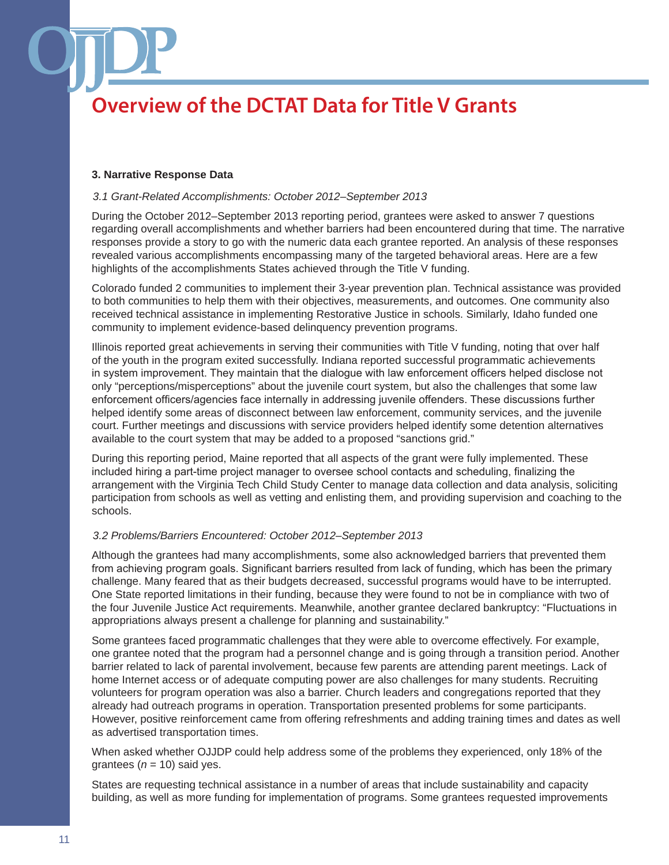#### **3. Narrative Response Data**

#### *3.1 Grant-Related Accomplishments: October 2012–September 2013*

During the October 2012–September 2013 reporting period, grantees were asked to answer 7 questions regarding overall accomplishments and whether barriers had been encountered during that time. The narrative responses provide a story to go with the numeric data each grantee reported. An analysis of these responses revealed various accomplishments encompassing many of the targeted behavioral areas. Here are a few highlights of the accomplishments States achieved through the Title V funding.

Colorado funded 2 communities to implement their 3-year prevention plan. Technical assistance was provided to both communities to help them with their objectives, measurements, and outcomes. One community also received technical assistance in implementing Restorative Justice in schools. Similarly, Idaho funded one community to implement evidence-based delinquency prevention programs.

Illinois reported great achievements in serving their communities with Title V funding, noting that over half of the youth in the program exited successfully. Indiana reported successful programmatic achievements in system improvement. They maintain that the dialogue with law enforcement officers helped disclose not only "perceptions/misperceptions" about the juvenile court system, but also the challenges that some law enforcement officers/agencies face internally in addressing juvenile offenders. These discussions further helped identify some areas of disconnect between law enforcement, community services, and the juvenile court. Further meetings and discussions with service providers helped identify some detention alternatives available to the court system that may be added to a proposed "sanctions grid."

During this reporting period, Maine reported that all aspects of the grant were fully implemented. These included hiring a part-time project manager to oversee school contacts and scheduling, finalizing the arrangement with the Virginia Tech Child Study Center to manage data collection and data analysis, soliciting participation from schools as well as vetting and enlisting them, and providing supervision and coaching to the schools.

### *3.2 Problems/Barriers Encountered: October 2012–September 2013*

Although the grantees had many accomplishments, some also acknowledged barriers that prevented them from achieving program goals. Significant barriers resulted from lack of funding, which has been the primary challenge. Many feared that as their budgets decreased, successful programs would have to be interrupted. One State reported limitations in their funding, because they were found to not be in compliance with two of the four Juvenile Justice Act requirements. Meanwhile, another grantee declared bankruptcy: "Fluctuations in appropriations always present a challenge for planning and sustainability."

Some grantees faced programmatic challenges that they were able to overcome effectively. For example, one grantee noted that the program had a personnel change and is going through a transition period. Another barrier related to lack of parental involvement, because few parents are attending parent meetings. Lack of home Internet access or of adequate computing power are also challenges for many students. Recruiting volunteers for program operation was also a barrier. Church leaders and congregations reported that they already had outreach programs in operation. Transportation presented problems for some participants. However, positive reinforcement came from offering refreshments and adding training times and dates as well as advertised transportation times.

When asked whether OJJDP could help address some of the problems they experienced, only 18% of the grantees  $(n = 10)$  said yes.

States are requesting technical assistance in a number of areas that include sustainability and capacity building, as well as more funding for implementation of programs. Some grantees requested improvements